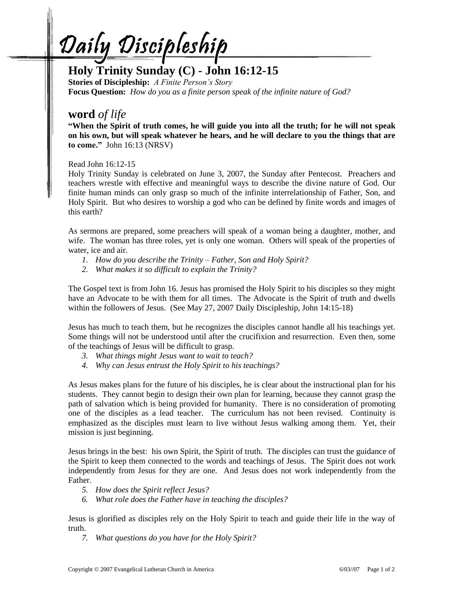Daily Discipleship

## **Holy Trinity Sunday (C) - John 16:12-15**

**Stories of Discipleship:** *A Finite Person's Story*  **Focus Question:** *How do you as a finite person speak of the infinite nature of God?*

## **word** *of life*

**"When the Spirit of truth comes, he will guide you into all the truth; for he will not speak on his own, but will speak whatever he hears, and he will declare to you the things that are to come."** John 16:13 (NRSV)

Read John 16:12-15

Holy Trinity Sunday is celebrated on June 3, 2007, the Sunday after Pentecost. Preachers and teachers wrestle with effective and meaningful ways to describe the divine nature of God. Our finite human minds can only grasp so much of the infinite interrelationship of Father, Son, and Holy Spirit. But who desires to worship a god who can be defined by finite words and images of this earth?

As sermons are prepared, some preachers will speak of a woman being a daughter, mother, and wife. The woman has three roles, yet is only one woman. Others will speak of the properties of water, ice and air.

- *1. How do you describe the Trinity – Father, Son and Holy Spirit?*
- *2. What makes it so difficult to explain the Trinity?*

The Gospel text is from John 16. Jesus has promised the Holy Spirit to his disciples so they might have an Advocate to be with them for all times. The Advocate is the Spirit of truth and dwells within the followers of Jesus. (See May 27, 2007 Daily Discipleship, John 14:15-18)

Jesus has much to teach them, but he recognizes the disciples cannot handle all his teachings yet. Some things will not be understood until after the crucifixion and resurrection. Even then, some of the teachings of Jesus will be difficult to grasp.

- *3. What things might Jesus want to wait to teach?*
- *4. Why can Jesus entrust the Holy Spirit to his teachings?*

As Jesus makes plans for the future of his disciples, he is clear about the instructional plan for his students. They cannot begin to design their own plan for learning, because they cannot grasp the path of salvation which is being provided for humanity. There is no consideration of promoting one of the disciples as a lead teacher. The curriculum has not been revised. Continuity is emphasized as the disciples must learn to live without Jesus walking among them. Yet, their mission is just beginning.

Jesus brings in the best: his own Spirit, the Spirit of truth. The disciples can trust the guidance of the Spirit to keep them connected to the words and teachings of Jesus. The Spirit does not work independently from Jesus for they are one. And Jesus does not work independently from the Father.

- *5. How does the Spirit reflect Jesus?*
- *6. What role does the Father have in teaching the disciples?*

Jesus is glorified as disciples rely on the Holy Spirit to teach and guide their life in the way of truth.

*7. What questions do you have for the Holy Spirit?*